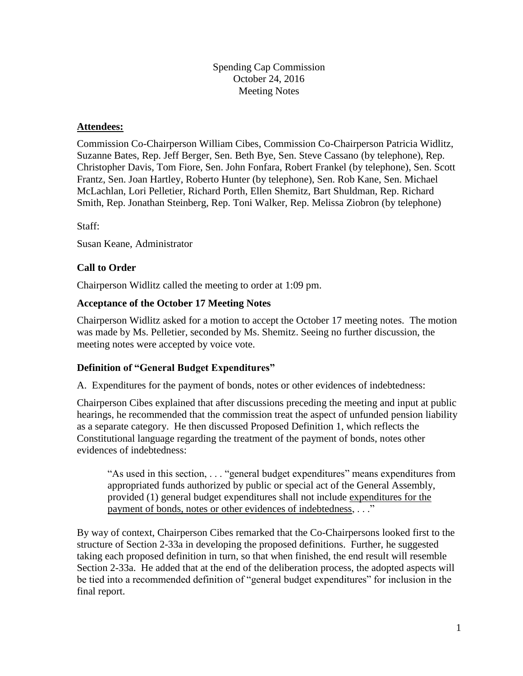Spending Cap Commission October 24, 2016 Meeting Notes

## **Attendees:**

Commission Co-Chairperson William Cibes, Commission Co-Chairperson Patricia Widlitz, Suzanne Bates, Rep. Jeff Berger, Sen. Beth Bye, Sen. Steve Cassano (by telephone), Rep. Christopher Davis, Tom Fiore, Sen. John Fonfara, Robert Frankel (by telephone), Sen. Scott Frantz, Sen. Joan Hartley, Roberto Hunter (by telephone), Sen. Rob Kane, Sen. Michael McLachlan, Lori Pelletier, Richard Porth, Ellen Shemitz, Bart Shuldman, Rep. Richard Smith, Rep. Jonathan Steinberg, Rep. Toni Walker, Rep. Melissa Ziobron (by telephone)

Staff:

Susan Keane, Administrator

# **Call to Order**

Chairperson Widlitz called the meeting to order at 1:09 pm.

## **Acceptance of the October 17 Meeting Notes**

Chairperson Widlitz asked for a motion to accept the October 17 meeting notes. The motion was made by Ms. Pelletier, seconded by Ms. Shemitz. Seeing no further discussion, the meeting notes were accepted by voice vote.

# **Definition of "General Budget Expenditures"**

A. Expenditures for the payment of bonds, notes or other evidences of indebtedness:

Chairperson Cibes explained that after discussions preceding the meeting and input at public hearings, he recommended that the commission treat the aspect of unfunded pension liability as a separate category. He then discussed Proposed Definition 1, which reflects the Constitutional language regarding the treatment of the payment of bonds, notes other evidences of indebtedness:

"As used in this section, . . . "general budget expenditures" means expenditures from appropriated funds authorized by public or special act of the General Assembly, provided (1) general budget expenditures shall not include expenditures for the payment of bonds, notes or other evidences of indebtedness, . . ."

By way of context, Chairperson Cibes remarked that the Co-Chairpersons looked first to the structure of Section 2-33a in developing the proposed definitions. Further, he suggested taking each proposed definition in turn, so that when finished, the end result will resemble Section 2-33a. He added that at the end of the deliberation process, the adopted aspects will be tied into a recommended definition of "general budget expenditures" for inclusion in the final report.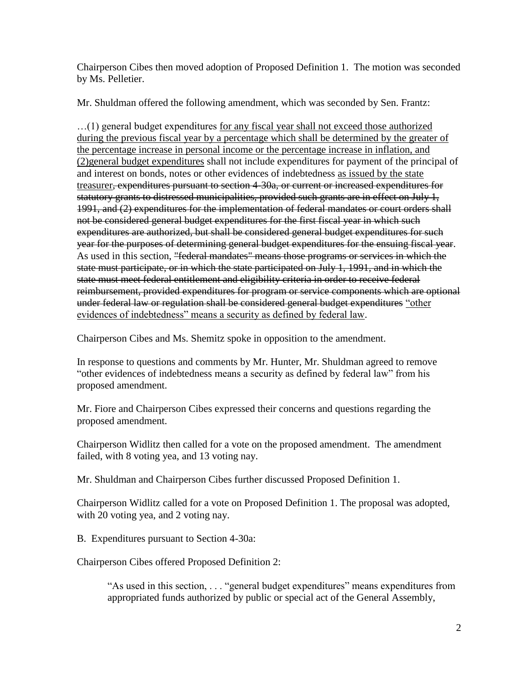Chairperson Cibes then moved adoption of Proposed Definition 1. The motion was seconded by Ms. Pelletier.

Mr. Shuldman offered the following amendment, which was seconded by Sen. Frantz:

…(1) general budget expenditures for any fiscal year shall not exceed those authorized during the previous fiscal year by a percentage which shall be determined by the greater of the percentage increase in personal income or the percentage increase in inflation, and (2)general budget expenditures shall not include expenditures for payment of the principal of and interest on bonds, notes or other evidences of indebtedness as issued by the state treasurer, expenditures pursuant to section 4-30a, or current or increased expenditures for statutory grants to distressed municipalities, provided such grants are in effect on July 1, 1991, and (2) expenditures for the implementation of federal mandates or court orders shall not be considered general budget expenditures for the first fiscal year in which such expenditures are authorized, but shall be considered general budget expenditures for such year for the purposes of determining general budget expenditures for the ensuing fiscal year. As used in this section, "federal mandates" means those programs or services in which the state must participate, or in which the state participated on July 1, 1991, and in which the state must meet federal entitlement and eligibility criteria in order to receive federal reimbursement, provided expenditures for program or service components which are optional under federal law or regulation shall be considered general budget expenditures "other evidences of indebtedness" means a security as defined by federal law.

Chairperson Cibes and Ms. Shemitz spoke in opposition to the amendment.

In response to questions and comments by Mr. Hunter, Mr. Shuldman agreed to remove "other evidences of indebtedness means a security as defined by federal law" from his proposed amendment.

Mr. Fiore and Chairperson Cibes expressed their concerns and questions regarding the proposed amendment.

Chairperson Widlitz then called for a vote on the proposed amendment. The amendment failed, with 8 voting yea, and 13 voting nay.

Mr. Shuldman and Chairperson Cibes further discussed Proposed Definition 1.

Chairperson Widlitz called for a vote on Proposed Definition 1. The proposal was adopted, with 20 voting yea, and 2 voting nay.

B. Expenditures pursuant to Section 4-30a:

Chairperson Cibes offered Proposed Definition 2:

"As used in this section, . . . "general budget expenditures" means expenditures from appropriated funds authorized by public or special act of the General Assembly,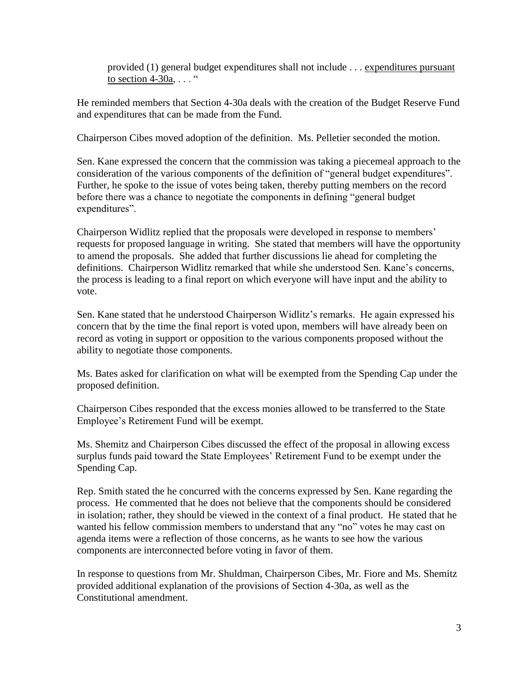provided (1) general budget expenditures shall not include . . . expenditures pursuant to section  $4-30a$ , ... "

He reminded members that Section 4-30a deals with the creation of the Budget Reserve Fund and expenditures that can be made from the Fund.

Chairperson Cibes moved adoption of the definition. Ms. Pelletier seconded the motion.

Sen. Kane expressed the concern that the commission was taking a piecemeal approach to the consideration of the various components of the definition of "general budget expenditures". Further, he spoke to the issue of votes being taken, thereby putting members on the record before there was a chance to negotiate the components in defining "general budget expenditures".

Chairperson Widlitz replied that the proposals were developed in response to members' requests for proposed language in writing. She stated that members will have the opportunity to amend the proposals. She added that further discussions lie ahead for completing the definitions. Chairperson Widlitz remarked that while she understood Sen. Kane's concerns, the process is leading to a final report on which everyone will have input and the ability to vote.

Sen. Kane stated that he understood Chairperson Widlitz's remarks. He again expressed his concern that by the time the final report is voted upon, members will have already been on record as voting in support or opposition to the various components proposed without the ability to negotiate those components.

Ms. Bates asked for clarification on what will be exempted from the Spending Cap under the proposed definition.

Chairperson Cibes responded that the excess monies allowed to be transferred to the State Employee's Retirement Fund will be exempt.

Ms. Shemitz and Chairperson Cibes discussed the effect of the proposal in allowing excess surplus funds paid toward the State Employees' Retirement Fund to be exempt under the Spending Cap.

Rep. Smith stated the he concurred with the concerns expressed by Sen. Kane regarding the process. He commented that he does not believe that the components should be considered in isolation; rather, they should be viewed in the context of a final product. He stated that he wanted his fellow commission members to understand that any "no" votes he may cast on agenda items were a reflection of those concerns, as he wants to see how the various components are interconnected before voting in favor of them.

In response to questions from Mr. Shuldman, Chairperson Cibes, Mr. Fiore and Ms. Shemitz provided additional explanation of the provisions of Section 4-30a, as well as the Constitutional amendment.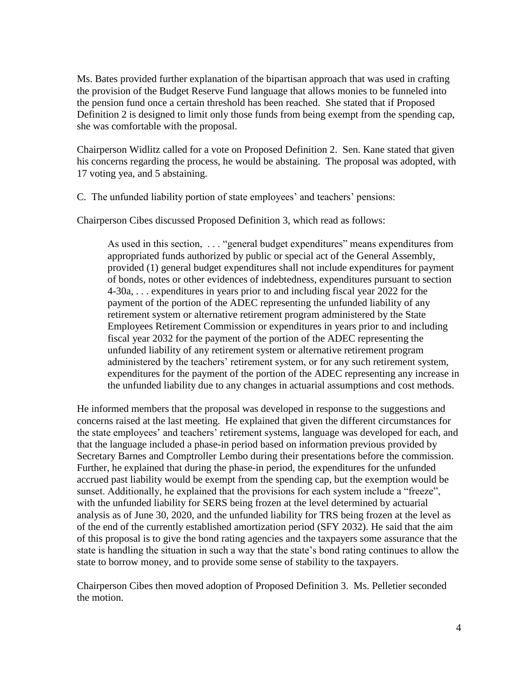Ms. Bates provided further explanation of the bipartisan approach that was used in crafting the provision of the Budget Reserve Fund language that allows monies to be funneled into the pension fund once a certain threshold has been reached. She stated that if Proposed Definition 2 is designed to limit only those funds from being exempt from the spending cap, she was comfortable with the proposal.

Chairperson Widlitz called for a vote on Proposed Definition 2. Sen. Kane stated that given his concerns regarding the process, he would be abstaining. The proposal was adopted, with 17 voting yea, and 5 abstaining.

C. The unfunded liability portion of state employees' and teachers' pensions:

Chairperson Cibes discussed Proposed Definition 3, which read as follows:

As used in this section, . . . "general budget expenditures" means expenditures from appropriated funds authorized by public or special act of the General Assembly, provided (1) general budget expenditures shall not include expenditures for payment of bonds, notes or other evidences of indebtedness, expenditures pursuant to section 4-30a, . . . expenditures in years prior to and including fiscal year 2022 for the payment of the portion of the ADEC representing the unfunded liability of any retirement system or alternative retirement program administered by the State Employees Retirement Commission or expenditures in years prior to and including fiscal year 2032 for the payment of the portion of the ADEC representing the unfunded liability of any retirement system or alternative retirement program administered by the teachers' retirement system, or for any such retirement system, expenditures for the payment of the portion of the ADEC representing any increase in the unfunded liability due to any changes in actuarial assumptions and cost methods.

He informed members that the proposal was developed in response to the suggestions and concerns raised at the last meeting. He explained that given the different circumstances for the state employees' and teachers' retirement systems, language was developed for each, and that the language included a phase-in period based on information previous provided by Secretary Barnes and Comptroller Lembo during their presentations before the commission. Further, he explained that during the phase-in period, the expenditures for the unfunded accrued past liability would be exempt from the spending cap, but the exemption would be sunset. Additionally, he explained that the provisions for each system include a "freeze", with the unfunded liability for SERS being frozen at the level determined by actuarial analysis as of June 30, 2020, and the unfunded liability for TRS being frozen at the level as of the end of the currently established amortization period (SFY 2032). He said that the aim of this proposal is to give the bond rating agencies and the taxpayers some assurance that the state is handling the situation in such a way that the state's bond rating continues to allow the state to borrow money, and to provide some sense of stability to the taxpayers.

Chairperson Cibes then moved adoption of Proposed Definition 3. Ms. Pelletier seconded the motion.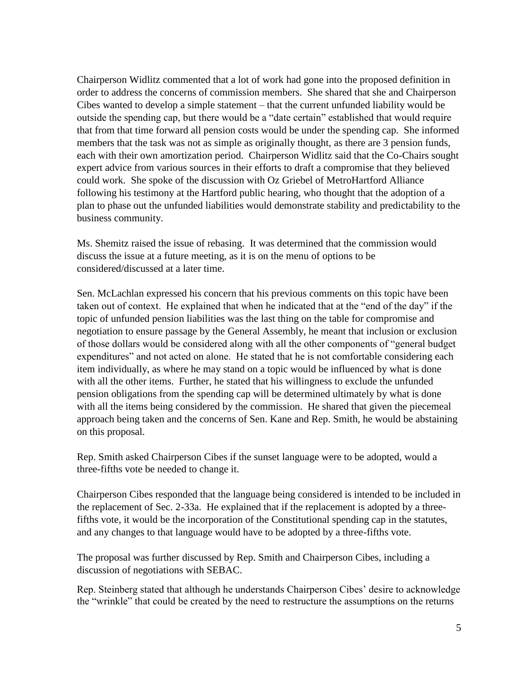Chairperson Widlitz commented that a lot of work had gone into the proposed definition in order to address the concerns of commission members. She shared that she and Chairperson Cibes wanted to develop a simple statement – that the current unfunded liability would be outside the spending cap, but there would be a "date certain" established that would require that from that time forward all pension costs would be under the spending cap. She informed members that the task was not as simple as originally thought, as there are 3 pension funds, each with their own amortization period. Chairperson Widlitz said that the Co-Chairs sought expert advice from various sources in their efforts to draft a compromise that they believed could work. She spoke of the discussion with Oz Griebel of MetroHartford Alliance following his testimony at the Hartford public hearing, who thought that the adoption of a plan to phase out the unfunded liabilities would demonstrate stability and predictability to the business community.

Ms. Shemitz raised the issue of rebasing. It was determined that the commission would discuss the issue at a future meeting, as it is on the menu of options to be considered/discussed at a later time.

Sen. McLachlan expressed his concern that his previous comments on this topic have been taken out of context. He explained that when he indicated that at the "end of the day" if the topic of unfunded pension liabilities was the last thing on the table for compromise and negotiation to ensure passage by the General Assembly, he meant that inclusion or exclusion of those dollars would be considered along with all the other components of "general budget expenditures" and not acted on alone. He stated that he is not comfortable considering each item individually, as where he may stand on a topic would be influenced by what is done with all the other items. Further, he stated that his willingness to exclude the unfunded pension obligations from the spending cap will be determined ultimately by what is done with all the items being considered by the commission. He shared that given the piecemeal approach being taken and the concerns of Sen. Kane and Rep. Smith, he would be abstaining on this proposal.

Rep. Smith asked Chairperson Cibes if the sunset language were to be adopted, would a three-fifths vote be needed to change it.

Chairperson Cibes responded that the language being considered is intended to be included in the replacement of Sec. 2-33a. He explained that if the replacement is adopted by a threefifths vote, it would be the incorporation of the Constitutional spending cap in the statutes, and any changes to that language would have to be adopted by a three-fifths vote.

The proposal was further discussed by Rep. Smith and Chairperson Cibes, including a discussion of negotiations with SEBAC.

Rep. Steinberg stated that although he understands Chairperson Cibes' desire to acknowledge the "wrinkle" that could be created by the need to restructure the assumptions on the returns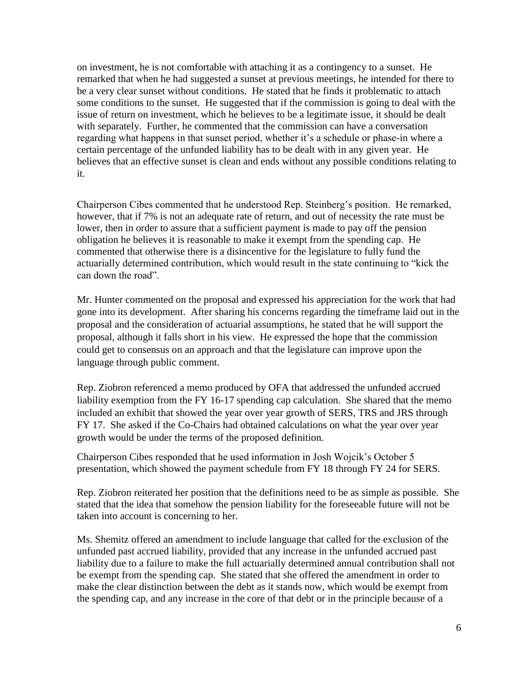on investment, he is not comfortable with attaching it as a contingency to a sunset. He remarked that when he had suggested a sunset at previous meetings, he intended for there to be a very clear sunset without conditions. He stated that he finds it problematic to attach some conditions to the sunset. He suggested that if the commission is going to deal with the issue of return on investment, which he believes to be a legitimate issue, it should be dealt with separately. Further, he commented that the commission can have a conversation regarding what happens in that sunset period, whether it's a schedule or phase-in where a certain percentage of the unfunded liability has to be dealt with in any given year. He believes that an effective sunset is clean and ends without any possible conditions relating to it.

Chairperson Cibes commented that he understood Rep. Steinberg's position. He remarked, however, that if 7% is not an adequate rate of return, and out of necessity the rate must be lower, then in order to assure that a sufficient payment is made to pay off the pension obligation he believes it is reasonable to make it exempt from the spending cap. He commented that otherwise there is a disincentive for the legislature to fully fund the actuarially determined contribution, which would result in the state continuing to "kick the can down the road".

Mr. Hunter commented on the proposal and expressed his appreciation for the work that had gone into its development. After sharing his concerns regarding the timeframe laid out in the proposal and the consideration of actuarial assumptions, he stated that he will support the proposal, although it falls short in his view. He expressed the hope that the commission could get to consensus on an approach and that the legislature can improve upon the language through public comment.

Rep. Ziobron referenced a memo produced by OFA that addressed the unfunded accrued liability exemption from the FY 16-17 spending cap calculation. She shared that the memo included an exhibit that showed the year over year growth of SERS, TRS and JRS through FY 17. She asked if the Co-Chairs had obtained calculations on what the year over year growth would be under the terms of the proposed definition.

Chairperson Cibes responded that he used information in Josh Wojcik's October 5 presentation, which showed the payment schedule from FY 18 through FY 24 for SERS.

Rep. Ziobron reiterated her position that the definitions need to be as simple as possible. She stated that the idea that somehow the pension liability for the foreseeable future will not be taken into account is concerning to her.

Ms. Shemitz offered an amendment to include language that called for the exclusion of the unfunded past accrued liability, provided that any increase in the unfunded accrued past liability due to a failure to make the full actuarially determined annual contribution shall not be exempt from the spending cap. She stated that she offered the amendment in order to make the clear distinction between the debt as it stands now, which would be exempt from the spending cap, and any increase in the core of that debt or in the principle because of a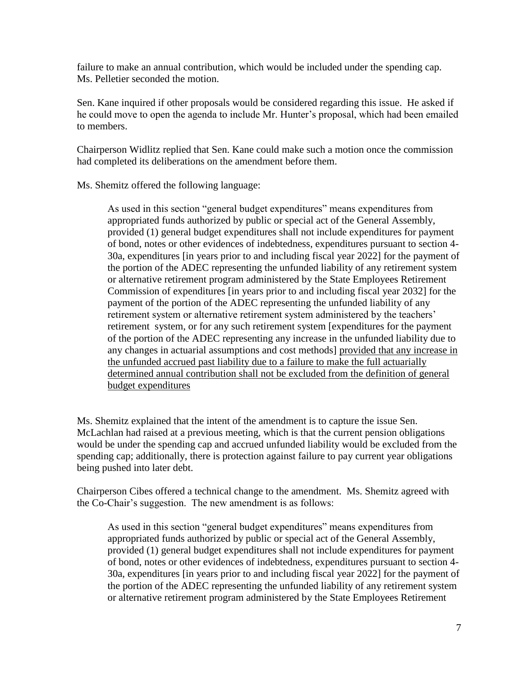failure to make an annual contribution, which would be included under the spending cap. Ms. Pelletier seconded the motion.

Sen. Kane inquired if other proposals would be considered regarding this issue. He asked if he could move to open the agenda to include Mr. Hunter's proposal, which had been emailed to members.

Chairperson Widlitz replied that Sen. Kane could make such a motion once the commission had completed its deliberations on the amendment before them.

Ms. Shemitz offered the following language:

As used in this section "general budget expenditures" means expenditures from appropriated funds authorized by public or special act of the General Assembly, provided (1) general budget expenditures shall not include expenditures for payment of bond, notes or other evidences of indebtedness, expenditures pursuant to section 4- 30a, expenditures [in years prior to and including fiscal year 2022] for the payment of the portion of the ADEC representing the unfunded liability of any retirement system or alternative retirement program administered by the State Employees Retirement Commission of expenditures [in years prior to and including fiscal year 2032] for the payment of the portion of the ADEC representing the unfunded liability of any retirement system or alternative retirement system administered by the teachers' retirement system, or for any such retirement system [expenditures for the payment of the portion of the ADEC representing any increase in the unfunded liability due to any changes in actuarial assumptions and cost methods] provided that any increase in the unfunded accrued past liability due to a failure to make the full actuarially determined annual contribution shall not be excluded from the definition of general budget expenditures

Ms. Shemitz explained that the intent of the amendment is to capture the issue Sen. McLachlan had raised at a previous meeting, which is that the current pension obligations would be under the spending cap and accrued unfunded liability would be excluded from the spending cap; additionally, there is protection against failure to pay current year obligations being pushed into later debt.

Chairperson Cibes offered a technical change to the amendment. Ms. Shemitz agreed with the Co-Chair's suggestion. The new amendment is as follows:

As used in this section "general budget expenditures" means expenditures from appropriated funds authorized by public or special act of the General Assembly, provided (1) general budget expenditures shall not include expenditures for payment of bond, notes or other evidences of indebtedness, expenditures pursuant to section 4- 30a, expenditures [in years prior to and including fiscal year 2022] for the payment of the portion of the ADEC representing the unfunded liability of any retirement system or alternative retirement program administered by the State Employees Retirement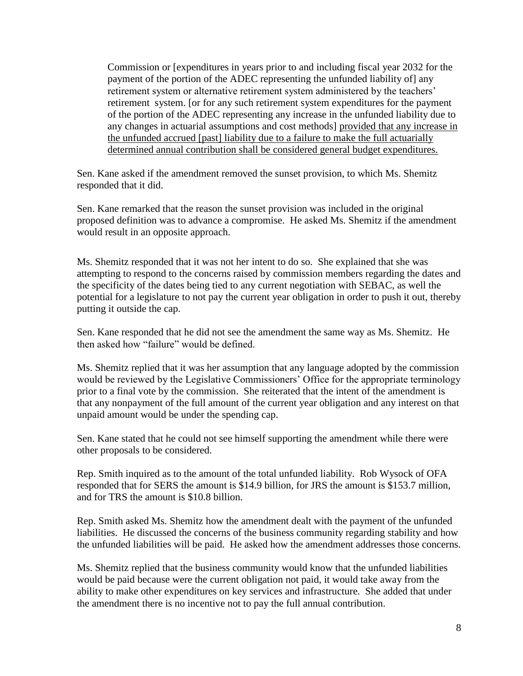Commission or [expenditures in years prior to and including fiscal year 2032 for the payment of the portion of the ADEC representing the unfunded liability of] any retirement system or alternative retirement system administered by the teachers' retirement system. [or for any such retirement system expenditures for the payment of the portion of the ADEC representing any increase in the unfunded liability due to any changes in actuarial assumptions and cost methods] provided that any increase in the unfunded accrued [past] liability due to a failure to make the full actuarially determined annual contribution shall be considered general budget expenditures.

Sen. Kane asked if the amendment removed the sunset provision, to which Ms. Shemitz responded that it did.

Sen. Kane remarked that the reason the sunset provision was included in the original proposed definition was to advance a compromise. He asked Ms. Shemitz if the amendment would result in an opposite approach.

Ms. Shemitz responded that it was not her intent to do so. She explained that she was attempting to respond to the concerns raised by commission members regarding the dates and the specificity of the dates being tied to any current negotiation with SEBAC, as well the potential for a legislature to not pay the current year obligation in order to push it out, thereby putting it outside the cap.

Sen. Kane responded that he did not see the amendment the same way as Ms. Shemitz. He then asked how "failure" would be defined.

Ms. Shemitz replied that it was her assumption that any language adopted by the commission would be reviewed by the Legislative Commissioners' Office for the appropriate terminology prior to a final vote by the commission. She reiterated that the intent of the amendment is that any nonpayment of the full amount of the current year obligation and any interest on that unpaid amount would be under the spending cap.

Sen. Kane stated that he could not see himself supporting the amendment while there were other proposals to be considered.

Rep. Smith inquired as to the amount of the total unfunded liability. Rob Wysock of OFA responded that for SERS the amount is \$14.9 billion, for JRS the amount is \$153.7 million, and for TRS the amount is \$10.8 billion.

Rep. Smith asked Ms. Shemitz how the amendment dealt with the payment of the unfunded liabilities. He discussed the concerns of the business community regarding stability and how the unfunded liabilities will be paid. He asked how the amendment addresses those concerns.

Ms. Shemitz replied that the business community would know that the unfunded liabilities would be paid because were the current obligation not paid, it would take away from the ability to make other expenditures on key services and infrastructure. She added that under the amendment there is no incentive not to pay the full annual contribution.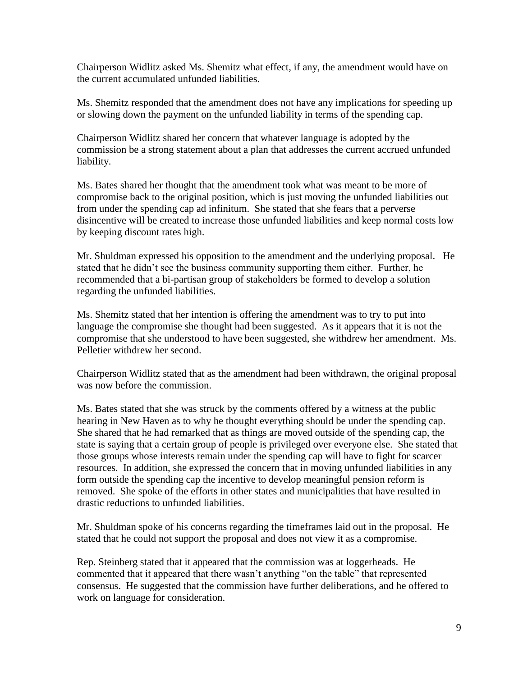Chairperson Widlitz asked Ms. Shemitz what effect, if any, the amendment would have on the current accumulated unfunded liabilities.

Ms. Shemitz responded that the amendment does not have any implications for speeding up or slowing down the payment on the unfunded liability in terms of the spending cap.

Chairperson Widlitz shared her concern that whatever language is adopted by the commission be a strong statement about a plan that addresses the current accrued unfunded liability.

Ms. Bates shared her thought that the amendment took what was meant to be more of compromise back to the original position, which is just moving the unfunded liabilities out from under the spending cap ad infinitum. She stated that she fears that a perverse disincentive will be created to increase those unfunded liabilities and keep normal costs low by keeping discount rates high.

Mr. Shuldman expressed his opposition to the amendment and the underlying proposal. He stated that he didn't see the business community supporting them either. Further, he recommended that a bi-partisan group of stakeholders be formed to develop a solution regarding the unfunded liabilities.

Ms. Shemitz stated that her intention is offering the amendment was to try to put into language the compromise she thought had been suggested. As it appears that it is not the compromise that she understood to have been suggested, she withdrew her amendment. Ms. Pelletier withdrew her second.

Chairperson Widlitz stated that as the amendment had been withdrawn, the original proposal was now before the commission.

Ms. Bates stated that she was struck by the comments offered by a witness at the public hearing in New Haven as to why he thought everything should be under the spending cap. She shared that he had remarked that as things are moved outside of the spending cap, the state is saying that a certain group of people is privileged over everyone else. She stated that those groups whose interests remain under the spending cap will have to fight for scarcer resources. In addition, she expressed the concern that in moving unfunded liabilities in any form outside the spending cap the incentive to develop meaningful pension reform is removed. She spoke of the efforts in other states and municipalities that have resulted in drastic reductions to unfunded liabilities.

Mr. Shuldman spoke of his concerns regarding the timeframes laid out in the proposal. He stated that he could not support the proposal and does not view it as a compromise.

Rep. Steinberg stated that it appeared that the commission was at loggerheads. He commented that it appeared that there wasn't anything "on the table" that represented consensus. He suggested that the commission have further deliberations, and he offered to work on language for consideration.